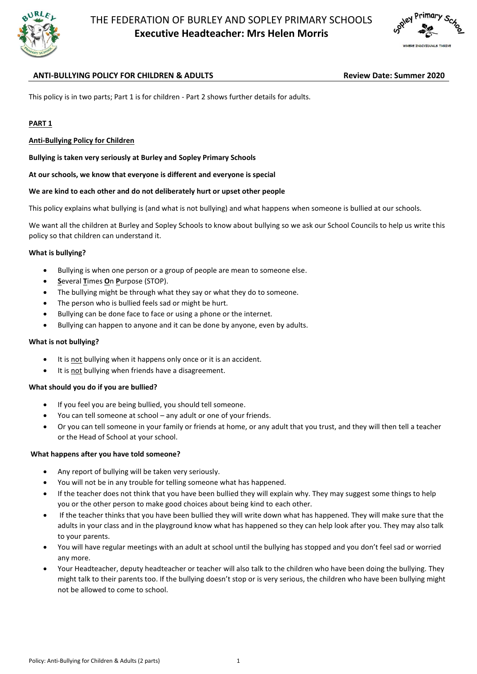



# **ANTI-BULLYING POLICY FOR CHILDREN & ADULTS Review Date: Summer 2020**

This policy is in two parts; Part 1 is for children - Part 2 shows further details for adults.

#### **PART 1**

#### **Anti-Bullying Policy for Children**

**Bullying is taken very seriously at Burley and Sopley Primary Schools**

**At our schools, we know that everyone is different and everyone is special**

#### **We are kind to each other and do not deliberately hurt or upset other people**

This policy explains what bullying is (and what is not bullying) and what happens when someone is bullied at our schools.

We want all the children at Burley and Sopley Schools to know about bullying so we ask our School Councils to help us write this policy so that children can understand it.

#### **What is bullying?**

- Bullying is when one person or a group of people are mean to someone else.
- **S**everal **T**imes **O**n **P**urpose (STOP).
- The bullying might be through what they say or what they do to someone.
- The person who is bullied feels sad or might be hurt.
- Bullying can be done face to face or using a phone or the internet.
- Bullying can happen to anyone and it can be done by anyone, even by adults.

#### **What is not bullying?**

- It is not bullying when it happens only once or it is an accident.
- It is not bullying when friends have a disagreement.

#### **What should you do if you are bullied?**

- If you feel you are being bullied, you should tell someone.
- You can tell someone at school any adult or one of your friends.
- Or you can tell someone in your family or friends at home, or any adult that you trust, and they will then tell a teacher or the Head of School at your school.

#### **What happens after you have told someone?**

- Any report of bullying will be taken very seriously.
- You will not be in any trouble for telling someone what has happened.
- If the teacher does not think that you have been bullied they will explain why. They may suggest some things to help you or the other person to make good choices about being kind to each other.
- If the teacher thinks that you have been bullied they will write down what has happened. They will make sure that the adults in your class and in the playground know what has happened so they can help look after you. They may also talk to your parents.
- You will have regular meetings with an adult at school until the bullying has stopped and you don't feel sad or worried any more.
- Your Headteacher, deputy headteacher or teacher will also talk to the children who have been doing the bullying. They might talk to their parents too. If the bullying doesn't stop or is very serious, the children who have been bullying might not be allowed to come to school.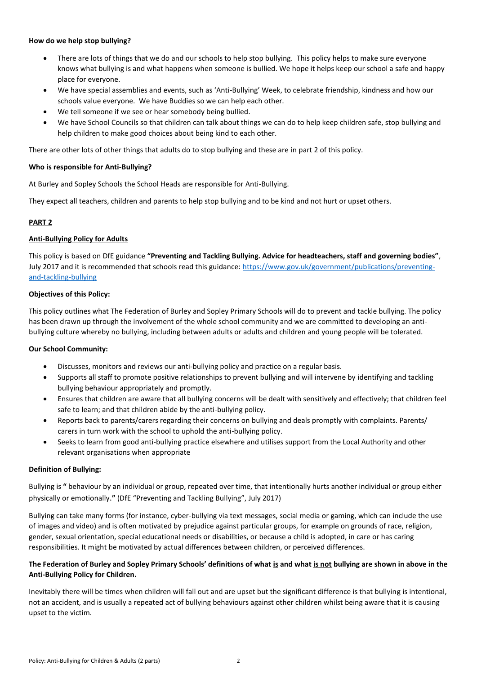#### **How do we help stop bullying?**

- There are lots of things that we do and our schools to help stop bullying. This policy helps to make sure everyone knows what bullying is and what happens when someone is bullied. We hope it helps keep our school a safe and happy place for everyone.
- We have special assemblies and events, such as 'Anti-Bullying' Week, to celebrate friendship, kindness and how our schools value everyone. We have Buddies so we can help each other.
- We tell someone if we see or hear somebody being bullied.
- We have School Councils so that children can talk about things we can do to help keep children safe, stop bullying and help children to make good choices about being kind to each other.

There are other lots of other things that adults do to stop bullying and these are in part 2 of this policy.

#### **Who is responsible for Anti-Bullying?**

At Burley and Sopley Schools the School Heads are responsible for Anti-Bullying.

They expect all teachers, children and parents to help stop bullying and to be kind and not hurt or upset others.

# **PART 2**

## **Anti-Bullying Policy for Adults**

This policy is based on DfE guidance **"Preventing and Tackling Bullying. Advice for headteachers, staff and governing bodies"**, July 2017 and it is recommended that schools read this guidance: [https://www.gov.uk/government/publications/preventing](https://www.gov.uk/government/publications/preventing-and-tackling-bullying)[and-tackling-bullying](https://www.gov.uk/government/publications/preventing-and-tackling-bullying)

#### **Objectives of this Policy:**

This policy outlines what The Federation of Burley and Sopley Primary Schools will do to prevent and tackle bullying. The policy has been drawn up through the involvement of the whole school community and we are committed to developing an antibullying culture whereby no bullying, including between adults or adults and children and young people will be tolerated.

## **Our School Community:**

- Discusses, monitors and reviews our anti-bullying policy and practice on a regular basis.
- Supports all staff to promote positive relationships to prevent bullying and will intervene by identifying and tackling bullying behaviour appropriately and promptly.
- Ensures that children are aware that all bullying concerns will be dealt with sensitively and effectively; that children feel safe to learn; and that children abide by the anti-bullying policy.
- Reports back to parents/carers regarding their concerns on bullying and deals promptly with complaints. Parents/ carers in turn work with the school to uphold the anti-bullying policy.
- Seeks to learn from good anti-bullying practice elsewhere and utilises support from the Local Authority and other relevant organisations when appropriate

## **Definition of Bullying:**

Bullying is **"** behaviour by an individual or group, repeated over time, that intentionally hurts another individual or group either physically or emotionally.**"** (DfE "Preventing and Tackling Bullying", July 2017)

Bullying can take many forms (for instance, cyber-bullying via text messages, social media or gaming, which can include the use of images and video) and is often motivated by prejudice against particular groups, for example on grounds of race, religion, gender, sexual orientation, special educational needs or disabilities, or because a child is adopted, in care or has caring responsibilities. It might be motivated by actual differences between children, or perceived differences.

# **The Federation of Burley and Sopley Primary Schools' definitions of what is and what is not bullying are shown in above in the Anti-Bullying Policy for Children.**

Inevitably there will be times when children will fall out and are upset but the significant difference is that bullying is intentional, not an accident, and is usually a repeated act of bullying behaviours against other children whilst being aware that it is causing upset to the victim.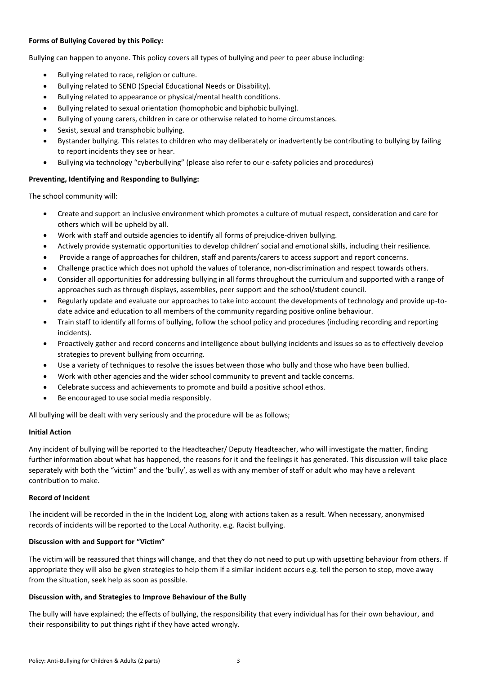## **Forms of Bullying Covered by this Policy:**

Bullying can happen to anyone. This policy covers all types of bullying and peer to peer abuse including:

- Bullying related to race, religion or culture.
- Bullying related to SEND (Special Educational Needs or Disability).
- Bullying related to appearance or physical/mental health conditions.
- Bullying related to sexual orientation (homophobic and biphobic bullying).
- Bullying of young carers, children in care or otherwise related to home circumstances.
- Sexist, sexual and transphobic bullying.
- Bystander bullying. This relates to children who may deliberately or inadvertently be contributing to bullying by failing to report incidents they see or hear.
- Bullying via technology "cyberbullying" (please also refer to our e-safety policies and procedures)

## **Preventing, Identifying and Responding to Bullying:**

The school community will:

- Create and support an inclusive environment which promotes a culture of mutual respect, consideration and care for others which will be upheld by all.
- Work with staff and outside agencies to identify all forms of prejudice-driven bullying.
- Actively provide systematic opportunities to develop children' social and emotional skills, including their resilience.
- Provide a range of approaches for children, staff and parents/carers to access support and report concerns.
- Challenge practice which does not uphold the values of tolerance, non-discrimination and respect towards others.
- Consider all opportunities for addressing bullying in all forms throughout the curriculum and supported with a range of approaches such as through displays, assemblies, peer support and the school/student council.
- Regularly update and evaluate our approaches to take into account the developments of technology and provide up-todate advice and education to all members of the community regarding positive online behaviour.
- Train staff to identify all forms of bullying, follow the school policy and procedures (including recording and reporting incidents).
- Proactively gather and record concerns and intelligence about bullying incidents and issues so as to effectively develop strategies to prevent bullying from occurring.
- Use a variety of techniques to resolve the issues between those who bully and those who have been bullied.
- Work with other agencies and the wider school community to prevent and tackle concerns.
- Celebrate success and achievements to promote and build a positive school ethos.
- Be encouraged to use social media responsibly.

All bullying will be dealt with very seriously and the procedure will be as follows;

## **Initial Action**

Any incident of bullying will be reported to the Headteacher/ Deputy Headteacher, who will investigate the matter, finding further information about what has happened, the reasons for it and the feelings it has generated. This discussion will take place separately with both the "victim" and the 'bully', as well as with any member of staff or adult who may have a relevant contribution to make.

## **Record of Incident**

The incident will be recorded in the in the Incident Log, along with actions taken as a result. When necessary, anonymised records of incidents will be reported to the Local Authority. e.g. Racist bullying.

## **Discussion with and Support for "Victim"**

The victim will be reassured that things will change, and that they do not need to put up with upsetting behaviour from others. If appropriate they will also be given strategies to help them if a similar incident occurs e.g. tell the person to stop, move away from the situation, seek help as soon as possible.

## **Discussion with, and Strategies to Improve Behaviour of the Bully**

The bully will have explained; the effects of bullying, the responsibility that every individual has for their own behaviour, and their responsibility to put things right if they have acted wrongly.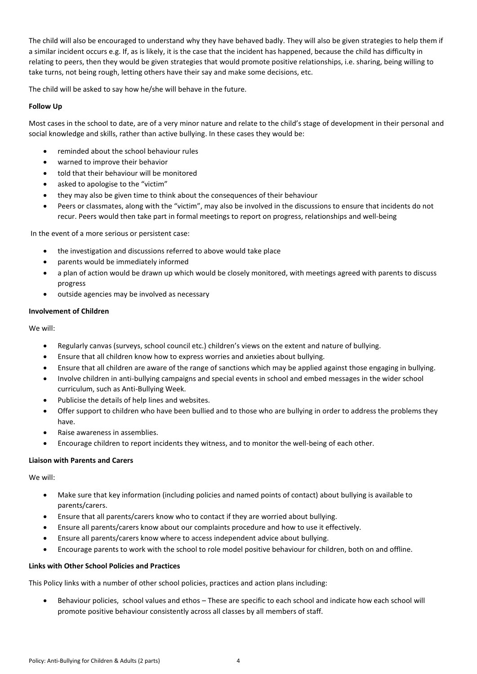The child will also be encouraged to understand why they have behaved badly. They will also be given strategies to help them if a similar incident occurs e.g. If, as is likely, it is the case that the incident has happened, because the child has difficulty in relating to peers, then they would be given strategies that would promote positive relationships, i.e. sharing, being willing to take turns, not being rough, letting others have their say and make some decisions, etc.

The child will be asked to say how he/she will behave in the future.

# **Follow Up**

Most cases in the school to date, are of a very minor nature and relate to the child's stage of development in their personal and social knowledge and skills, rather than active bullying. In these cases they would be:

- reminded about the school behaviour rules
- warned to improve their behavior
- told that their behaviour will be monitored
- asked to apologise to the "victim"
- they may also be given time to think about the consequences of their behaviour
- Peers or classmates, along with the "victim", may also be involved in the discussions to ensure that incidents do not recur. Peers would then take part in formal meetings to report on progress, relationships and well-being

In the event of a more serious or persistent case:

- the investigation and discussions referred to above would take place
- parents would be immediately informed
- a plan of action would be drawn up which would be closely monitored, with meetings agreed with parents to discuss progress
- outside agencies may be involved as necessary

## **Involvement of Children**

We will:

- Regularly canvas (surveys, school council etc.) children's views on the extent and nature of bullying.
- Ensure that all children know how to express worries and anxieties about bullying.
- Ensure that all children are aware of the range of sanctions which may be applied against those engaging in bullying.
- Involve children in anti-bullying campaigns and special events in school and embed messages in the wider school curriculum, such as Anti-Bullying Week.
- Publicise the details of help lines and websites.
- Offer support to children who have been bullied and to those who are bullying in order to address the problems they have.
- Raise awareness in assemblies.
- Encourage children to report incidents they witness, and to monitor the well-being of each other.

## **Liaison with Parents and Carers**

We will:

- Make sure that key information (including policies and named points of contact) about bullying is available to parents/carers.
- Ensure that all parents/carers know who to contact if they are worried about bullying.
- Ensure all parents/carers know about our complaints procedure and how to use it effectively.
- Ensure all parents/carers know where to access independent advice about bullying.
- Encourage parents to work with the school to role model positive behaviour for children, both on and offline.

# **Links with Other School Policies and Practices**

This Policy links with a number of other school policies, practices and action plans including:

 Behaviour policies, school values and ethos – These are specific to each school and indicate how each school will promote positive behaviour consistently across all classes by all members of staff.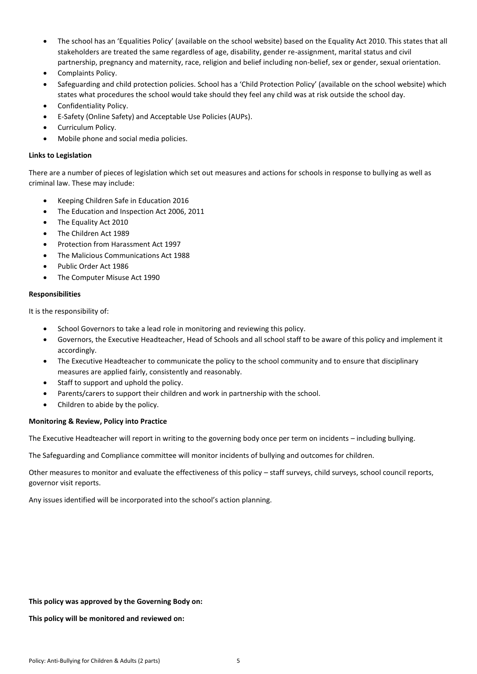- The school has an 'Equalities Policy' (available on the school website) based on the Equality Act 2010. This states that all stakeholders are treated the same regardless of age, disability, gender re-assignment, marital status and civil partnership, pregnancy and maternity, race, religion and belief including non-belief, sex or gender, sexual orientation.
- Complaints Policy.
- Safeguarding and child protection policies. School has a 'Child Protection Policy' (available on the school website) which states what procedures the school would take should they feel any child was at risk outside the school day.
- Confidentiality Policy.
- E-Safety (Online Safety) and Acceptable Use Policies (AUPs).
- Curriculum Policy.
- Mobile phone and social media policies.

#### **Links to Legislation**

There are a number of pieces of legislation which set out measures and actions for schools in response to bullying as well as criminal law. These may include:

- Keeping Children Safe in Education 2016
- The Education and Inspection Act 2006, 2011
- The Equality Act 2010
- The Children Act 1989
- Protection from Harassment Act 1997
- The Malicious Communications Act 1988
- Public Order Act 1986
- The Computer Misuse Act 1990

#### **Responsibilities**

It is the responsibility of:

- School Governors to take a lead role in monitoring and reviewing this policy.
- Governors, the Executive Headteacher, Head of Schools and all school staff to be aware of this policy and implement it accordingly.
- The Executive Headteacher to communicate the policy to the school community and to ensure that disciplinary measures are applied fairly, consistently and reasonably.
- Staff to support and uphold the policy.
- Parents/carers to support their children and work in partnership with the school.
- Children to abide by the policy.

## **Monitoring & Review, Policy into Practice**

The Executive Headteacher will report in writing to the governing body once per term on incidents – including bullying.

The Safeguarding and Compliance committee will monitor incidents of bullying and outcomes for children.

Other measures to monitor and evaluate the effectiveness of this policy – staff surveys, child surveys, school council reports, governor visit reports.

Any issues identified will be incorporated into the school's action planning.

#### **This policy was approved by the Governing Body on:**

**This policy will be monitored and reviewed on:**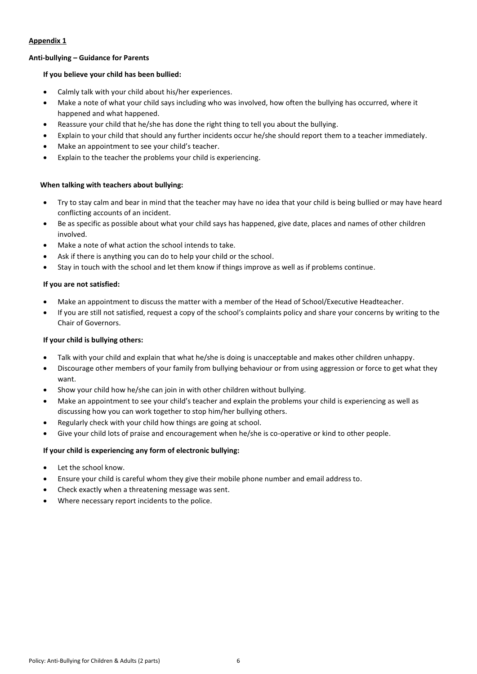# **Appendix 1**

# **Anti-bullying – Guidance for Parents**

# **If you believe your child has been bullied:**

- Calmly talk with your child about his/her experiences.
- Make a note of what your child says including who was involved, how often the bullying has occurred, where it happened and what happened.
- Reassure your child that he/she has done the right thing to tell you about the bullying.
- Explain to your child that should any further incidents occur he/she should report them to a teacher immediately.
- Make an appointment to see your child's teacher.
- Explain to the teacher the problems your child is experiencing.

# **When talking with teachers about bullying:**

- Try to stay calm and bear in mind that the teacher may have no idea that your child is being bullied or may have heard conflicting accounts of an incident.
- Be as specific as possible about what your child says has happened, give date, places and names of other children involved.
- Make a note of what action the school intends to take.
- Ask if there is anything you can do to help your child or the school.
- Stay in touch with the school and let them know if things improve as well as if problems continue.

## **If you are not satisfied:**

- Make an appointment to discuss the matter with a member of the Head of School/Executive Headteacher.
- If you are still not satisfied, request a copy of the school's complaints policy and share your concerns by writing to the Chair of Governors.

# **If your child is bullying others:**

- Talk with your child and explain that what he/she is doing is unacceptable and makes other children unhappy.
- Discourage other members of your family from bullying behaviour or from using aggression or force to get what they want.
- Show your child how he/she can join in with other children without bullying.
- Make an appointment to see your child's teacher and explain the problems your child is experiencing as well as discussing how you can work together to stop him/her bullying others.
- Regularly check with your child how things are going at school.
- Give your child lots of praise and encouragement when he/she is co-operative or kind to other people.

## **If your child is experiencing any form of electronic bullying:**

- Let the school know.
- Ensure your child is careful whom they give their mobile phone number and email address to.
- Check exactly when a threatening message was sent.
- Where necessary report incidents to the police.